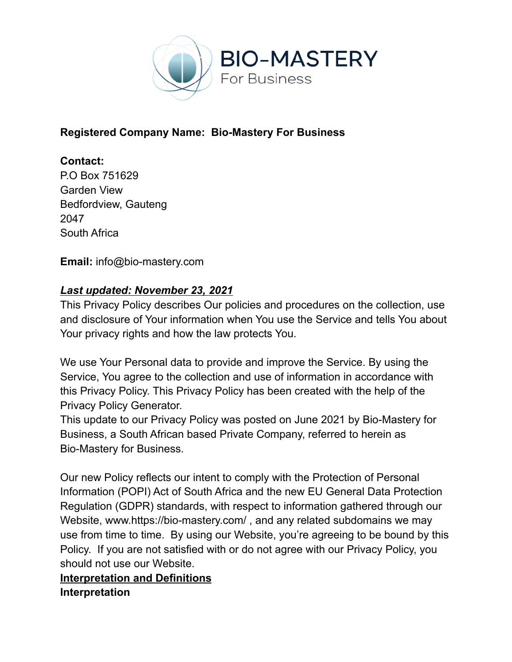

## **Registered Company Name: Bio-Mastery For Business**

## **Contact:** P.O Box 751629 Garden View Bedfordview, Gauteng 2047 South Africa

**Email:** info@bio-mastery.com

#### *Last updated: November 23, 2021*

This Privacy Policy describes Our policies and procedures on the collection, use and disclosure of Your information when You use the Service and tells You about Your privacy rights and how the law protects You.

We use Your Personal data to provide and improve the Service. By using the Service, You agree to the collection and use of information in accordance with this Privacy Policy. This Privacy Policy has been created with the help of the Privacy Policy Generator.

This update to our Privacy Policy was posted on June 2021 by Bio-Mastery for Business, a South African based Private Company, referred to herein as Bio-Mastery for Business.

Our new Policy reflects our intent to comply with the Protection of Personal Information (POPI) Act of South Africa and the new EU General Data Protection Regulation (GDPR) standards, with respect to information gathered through our Website, www.https://bio-mastery.com/ , and any related subdomains we may use from time to time. By using our Website, you're agreeing to be bound by this Policy. If you are not satisfied with or do not agree with our Privacy Policy, you should not use our Website.

#### **Interpretation and Definitions Interpretation**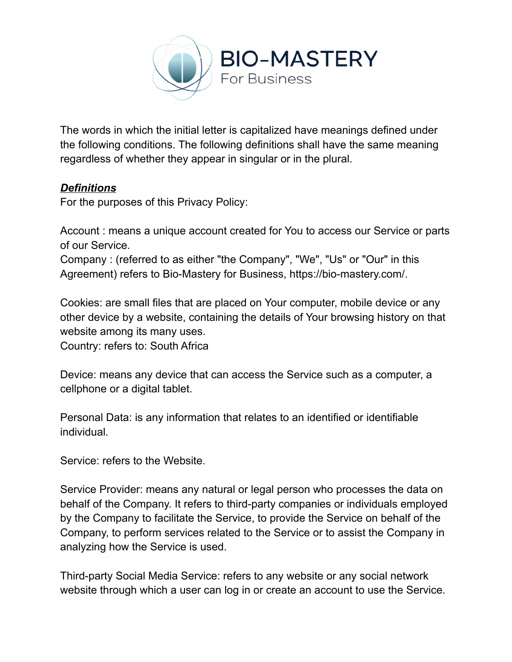

The words in which the initial letter is capitalized have meanings defined under the following conditions. The following definitions shall have the same meaning regardless of whether they appear in singular or in the plural.

## *Definitions*

For the purposes of this Privacy Policy:

Account : means a unique account created for You to access our Service or parts of our Service.

Company : (referred to as either "the Company", "We", "Us" or "Our" in this Agreement) refers to Bio-Mastery for Business, https://bio-mastery.com/.

Cookies: are small files that are placed on Your computer, mobile device or any other device by a website, containing the details of Your browsing history on that website among its many uses.

Country: refers to: South Africa

Device: means any device that can access the Service such as a computer, a cellphone or a digital tablet.

Personal Data: is any information that relates to an identified or identifiable individual.

Service: refers to the Website.

Service Provider: means any natural or legal person who processes the data on behalf of the Company. It refers to third-party companies or individuals employed by the Company to facilitate the Service, to provide the Service on behalf of the Company, to perform services related to the Service or to assist the Company in analyzing how the Service is used.

Third-party Social Media Service: refers to any website or any social network website through which a user can log in or create an account to use the Service.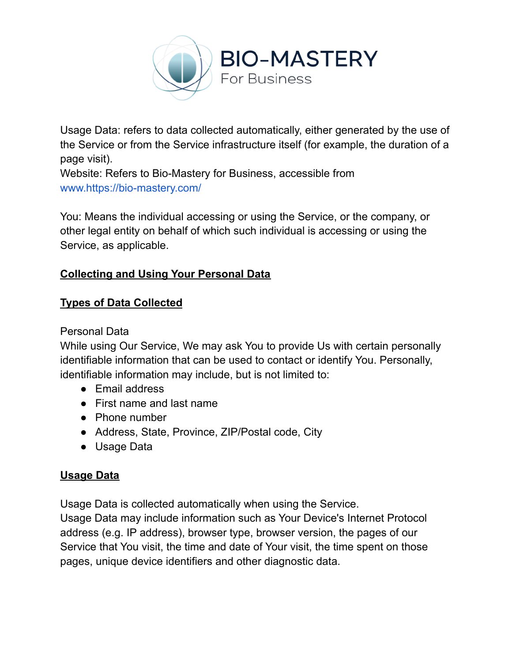

Usage Data: refers to data collected automatically, either generated by the use of the Service or from the Service infrastructure itself (for example, the duration of a page visit).

Website: Refers to Bio-Mastery for Business, accessible from www.https://bio-mastery.com/

You: Means the individual accessing or using the Service, or the company, or other legal entity on behalf of which such individual is accessing or using the Service, as applicable.

## **Collecting and Using Your Personal Data**

# **Types of Data Collected**

#### Personal Data

While using Our Service, We may ask You to provide Us with certain personally identifiable information that can be used to contact or identify You. Personally, identifiable information may include, but is not limited to:

- Email address
- First name and last name
- Phone number
- Address, State, Province, ZIP/Postal code, City
- Usage Data

# **Usage Data**

Usage Data is collected automatically when using the Service.

Usage Data may include information such as Your Device's Internet Protocol address (e.g. IP address), browser type, browser version, the pages of our Service that You visit, the time and date of Your visit, the time spent on those pages, unique device identifiers and other diagnostic data.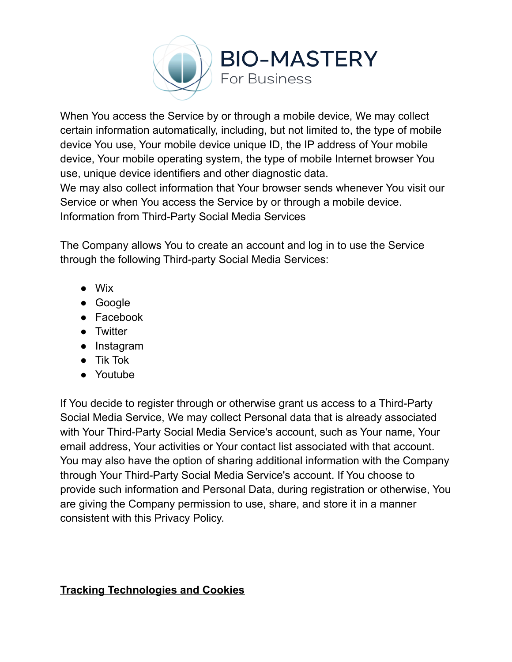

When You access the Service by or through a mobile device, We may collect certain information automatically, including, but not limited to, the type of mobile device You use, Your mobile device unique ID, the IP address of Your mobile device, Your mobile operating system, the type of mobile Internet browser You use, unique device identifiers and other diagnostic data.

We may also collect information that Your browser sends whenever You visit our Service or when You access the Service by or through a mobile device. Information from Third-Party Social Media Services

The Company allows You to create an account and log in to use the Service through the following Third-party Social Media Services:

- Wix
- Google
- Facebook
- Twitter
- Instagram
- Tik Tok
- Youtube

If You decide to register through or otherwise grant us access to a Third-Party Social Media Service, We may collect Personal data that is already associated with Your Third-Party Social Media Service's account, such as Your name, Your email address, Your activities or Your contact list associated with that account. You may also have the option of sharing additional information with the Company through Your Third-Party Social Media Service's account. If You choose to provide such information and Personal Data, during registration or otherwise, You are giving the Company permission to use, share, and store it in a manner consistent with this Privacy Policy.

# **Tracking Technologies and Cookies**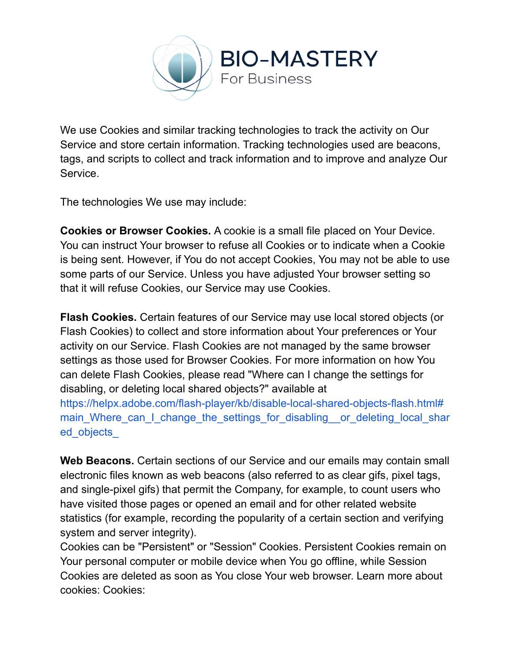

We use Cookies and similar tracking technologies to track the activity on Our Service and store certain information. Tracking technologies used are beacons, tags, and scripts to collect and track information and to improve and analyze Our Service.

The technologies We use may include:

**Cookies or Browser Cookies.** A cookie is a small file placed on Your Device. You can instruct Your browser to refuse all Cookies or to indicate when a Cookie is being sent. However, if You do not accept Cookies, You may not be able to use some parts of our Service. Unless you have adjusted Your browser setting so that it will refuse Cookies, our Service may use Cookies.

**Flash Cookies.** Certain features of our Service may use local stored objects (or Flash Cookies) to collect and store information about Your preferences or Your activity on our Service. Flash Cookies are not managed by the same browser settings as those used for Browser Cookies. For more information on how You can delete Flash Cookies, please read "Where can I change the settings for disabling, or deleting local shared objects?" available at [https://helpx.adobe.com/flash-player/kb/disable-local-shared-objects-flash.html#](https://helpx.adobe.com/flash-player/kb/disable-local-shared-objects-flash.html#main_Where_can_I_change_the_settings_for_disabling__or_deleting_local_shared_objects_) main Where can I change the settings for disabling or deleting local share [ed\\_objects\\_](https://helpx.adobe.com/flash-player/kb/disable-local-shared-objects-flash.html#main_Where_can_I_change_the_settings_for_disabling__or_deleting_local_shared_objects_)

**Web Beacons.** Certain sections of our Service and our emails may contain small electronic files known as web beacons (also referred to as clear gifs, pixel tags, and single-pixel gifs) that permit the Company, for example, to count users who have visited those pages or opened an email and for other related website statistics (for example, recording the popularity of a certain section and verifying system and server integrity).

Cookies can be "Persistent" or "Session" Cookies. Persistent Cookies remain on Your personal computer or mobile device when You go offline, while Session Cookies are deleted as soon as You close Your web browser. Learn more about cookies: Cookies: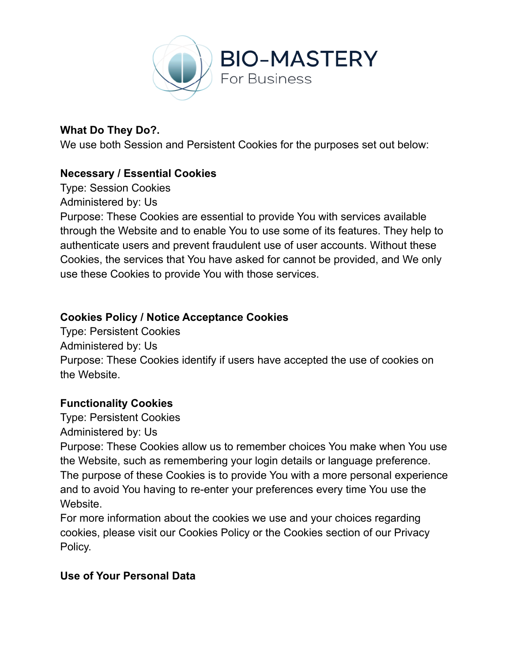

## **What Do They Do?.**

We use both Session and Persistent Cookies for the purposes set out below:

## **Necessary / Essential Cookies**

Type: Session Cookies Administered by: Us Purpose: These Cookies are essential to provide You with services available through the Website and to enable You to use some of its features. They help to authenticate users and prevent fraudulent use of user accounts. Without these Cookies, the services that You have asked for cannot be provided, and We only use these Cookies to provide You with those services.

## **Cookies Policy / Notice Acceptance Cookies**

Type: Persistent Cookies Administered by: Us Purpose: These Cookies identify if users have accepted the use of cookies on the Website.

## **Functionality Cookies**

Type: Persistent Cookies

Administered by: Us

Purpose: These Cookies allow us to remember choices You make when You use the Website, such as remembering your login details or language preference. The purpose of these Cookies is to provide You with a more personal experience and to avoid You having to re-enter your preferences every time You use the Website.

For more information about the cookies we use and your choices regarding cookies, please visit our Cookies Policy or the Cookies section of our Privacy Policy.

## **Use of Your Personal Data**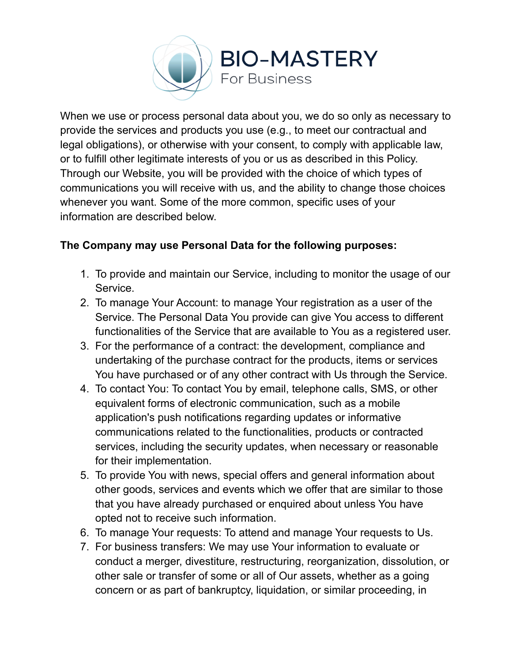

When we use or process personal data about you, we do so only as necessary to provide the services and products you use (e.g., to meet our contractual and legal obligations), or otherwise with your consent, to comply with applicable law, or to fulfill other legitimate interests of you or us as described in this Policy. Through our Website, you will be provided with the choice of which types of communications you will receive with us, and the ability to change those choices whenever you want. Some of the more common, specific uses of your information are described below.

# **The Company may use Personal Data for the following purposes:**

- 1. To provide and maintain our Service, including to monitor the usage of our Service.
- 2. To manage Your Account: to manage Your registration as a user of the Service. The Personal Data You provide can give You access to different functionalities of the Service that are available to You as a registered user.
- 3. For the performance of a contract: the development, compliance and undertaking of the purchase contract for the products, items or services You have purchased or of any other contract with Us through the Service.
- 4. To contact You: To contact You by email, telephone calls, SMS, or other equivalent forms of electronic communication, such as a mobile application's push notifications regarding updates or informative communications related to the functionalities, products or contracted services, including the security updates, when necessary or reasonable for their implementation.
- 5. To provide You with news, special offers and general information about other goods, services and events which we offer that are similar to those that you have already purchased or enquired about unless You have opted not to receive such information.
- 6. To manage Your requests: To attend and manage Your requests to Us.
- 7. For business transfers: We may use Your information to evaluate or conduct a merger, divestiture, restructuring, reorganization, dissolution, or other sale or transfer of some or all of Our assets, whether as a going concern or as part of bankruptcy, liquidation, or similar proceeding, in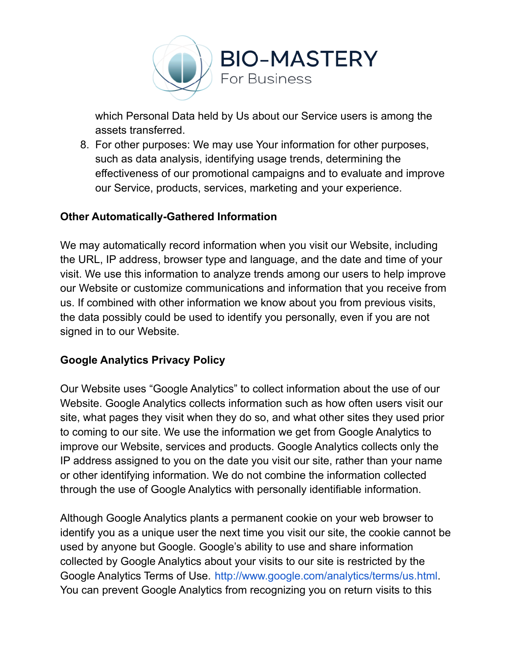

which Personal Data held by Us about our Service users is among the assets transferred.

8. For other purposes: We may use Your information for other purposes, such as data analysis, identifying usage trends, determining the effectiveness of our promotional campaigns and to evaluate and improve our Service, products, services, marketing and your experience.

#### **Other Automatically-Gathered Information**

We may automatically record information when you visit our Website, including the URL, IP address, browser type and language, and the date and time of your visit. We use this information to analyze trends among our users to help improve our Website or customize communications and information that you receive from us. If combined with other information we know about you from previous visits, the data possibly could be used to identify you personally, even if you are not signed in to our Website.

## **Google Analytics Privacy Policy**

Our Website uses "Google Analytics" to collect information about the use of our Website. Google Analytics collects information such as how often users visit our site, what pages they visit when they do so, and what other sites they used prior to coming to our site. We use the information we get from Google Analytics to improve our Website, services and products. Google Analytics collects only the IP address assigned to you on the date you visit our site, rather than your name or other identifying information. We do not combine the information collected through the use of Google Analytics with personally identifiable information.

Although Google Analytics plants a permanent cookie on your web browser to identify you as a unique user the next time you visit our site, the cookie cannot be used by anyone but Google. Google's ability to use and share information collected by Google Analytics about your visits to our site is restricted by the Google Analytics Terms of Use. <http://www.google.com/analytics/terms/us.html>. You can prevent Google Analytics from recognizing you on return visits to this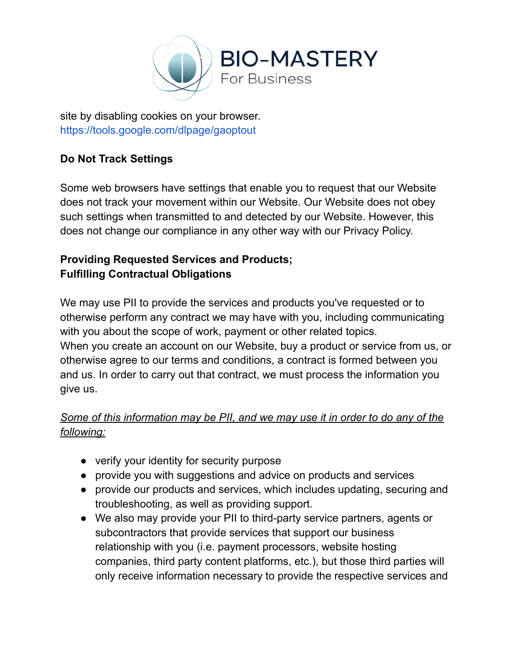

site by disabling cookies on your browser. <https://tools.google.com/dlpage/gaoptout>

# **Do Not Track Settings**

Some web browsers have settings that enable you to request that our Website does not track your movement within our Website. Our Website does not obey such settings when transmitted to and detected by our Website. However, this does not change our compliance in any other way with our Privacy Policy.

## **Providing Requested Services and Products; Fulfilling Contractual Obligations**

We may use PII to provide the services and products you've requested or to otherwise perform any contract we may have with you, including communicating with you about the scope of work, payment or other related topics. When you create an account on our Website, buy a product or service from us, or otherwise agree to our terms and conditions, a contract is formed between you and us. In order to carry out that contract, we must process the information you give us.

## *Some of this information may be PII, and we may use it in order to do any of the following:*

- verify your identity for security purpose
- provide you with suggestions and advice on products and services
- provide our products and services, which includes updating, securing and troubleshooting, as well as providing support.
- We also may provide your PII to third-party service partners, agents or subcontractors that provide services that support our business relationship with you (i.e. payment processors, website hosting companies, third party content platforms, etc.), but those third parties will only receive information necessary to provide the respective services and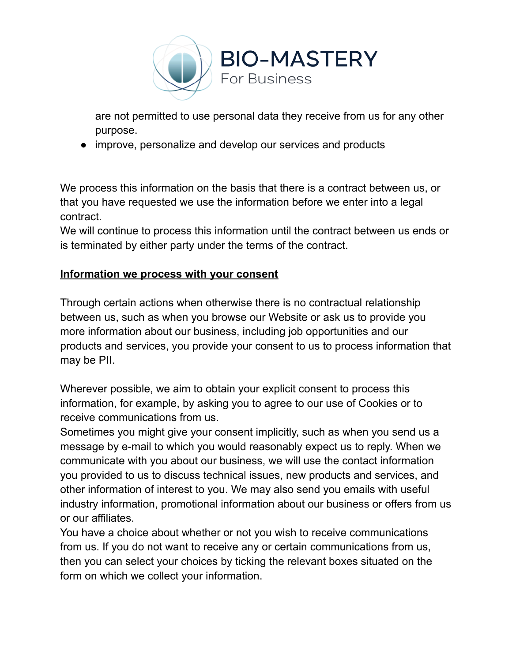

are not permitted to use personal data they receive from us for any other purpose.

• improve, personalize and develop our services and products

We process this information on the basis that there is a contract between us, or that you have requested we use the information before we enter into a legal contract.

We will continue to process this information until the contract between us ends or is terminated by either party under the terms of the contract.

## **Information we process with your consent**

Through certain actions when otherwise there is no contractual relationship between us, such as when you browse our Website or ask us to provide you more information about our business, including job opportunities and our products and services, you provide your consent to us to process information that may be PII.

Wherever possible, we aim to obtain your explicit consent to process this information, for example, by asking you to agree to our use of Cookies or to receive communications from us.

Sometimes you might give your consent implicitly, such as when you send us a message by e-mail to which you would reasonably expect us to reply. When we communicate with you about our business, we will use the contact information you provided to us to discuss technical issues, new products and services, and other information of interest to you. We may also send you emails with useful industry information, promotional information about our business or offers from us or our affiliates.

You have a choice about whether or not you wish to receive communications from us. If you do not want to receive any or certain communications from us, then you can select your choices by ticking the relevant boxes situated on the form on which we collect your information.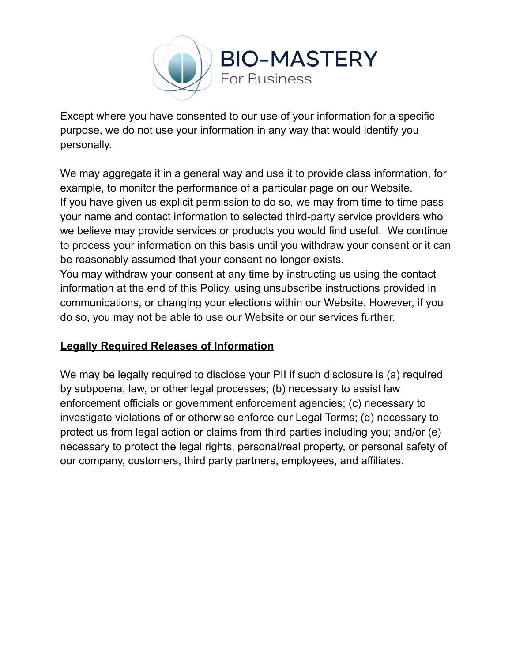

Except where you have consented to our use of your information for a specific purpose, we do not use your information in any way that would identify you personally.

We may aggregate it in a general way and use it to provide class information, for example, to monitor the performance of a particular page on our Website. If you have given us explicit permission to do so, we may from time to time pass your name and contact information to selected third-party service providers who we believe may provide services or products you would find useful. We continue to process your information on this basis until you withdraw your consent or it can be reasonably assumed that your consent no longer exists.

You may withdraw your consent at any time by instructing us using the contact information at the end of this Policy, using unsubscribe instructions provided in communications, or changing your elections within our Website. However, if you do so, you may not be able to use our Website or our services further.

## **Legally Required Releases of Information**

We may be legally required to disclose your PII if such disclosure is (a) required by subpoena, law, or other legal processes; (b) necessary to assist law enforcement officials or government enforcement agencies; (c) necessary to investigate violations of or otherwise enforce our Legal Terms; (d) necessary to protect us from legal action or claims from third parties including you; and/or (e) necessary to protect the legal rights, personal/real property, or personal safety of our company, customers, third party partners, employees, and affiliates.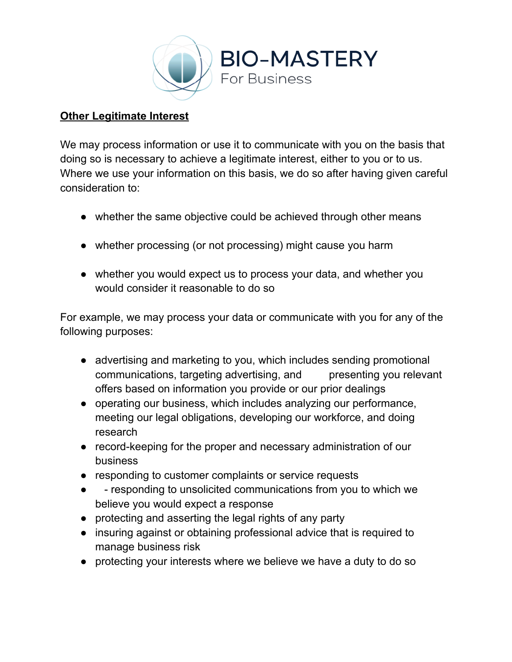

#### **Other Legitimate Interest**

We may process information or use it to communicate with you on the basis that doing so is necessary to achieve a legitimate interest, either to you or to us. Where we use your information on this basis, we do so after having given careful consideration to:

- whether the same objective could be achieved through other means
- whether processing (or not processing) might cause you harm
- whether you would expect us to process your data, and whether you would consider it reasonable to do so

For example, we may process your data or communicate with you for any of the following purposes:

- advertising and marketing to you, which includes sending promotional communications, targeting advertising, and presenting you relevant offers based on information you provide or our prior dealings
- operating our business, which includes analyzing our performance, meeting our legal obligations, developing our workforce, and doing research
- record-keeping for the proper and necessary administration of our business
- responding to customer complaints or service requests
- - responding to unsolicited communications from you to which we believe you would expect a response
- protecting and asserting the legal rights of any party
- insuring against or obtaining professional advice that is required to manage business risk
- protecting your interests where we believe we have a duty to do so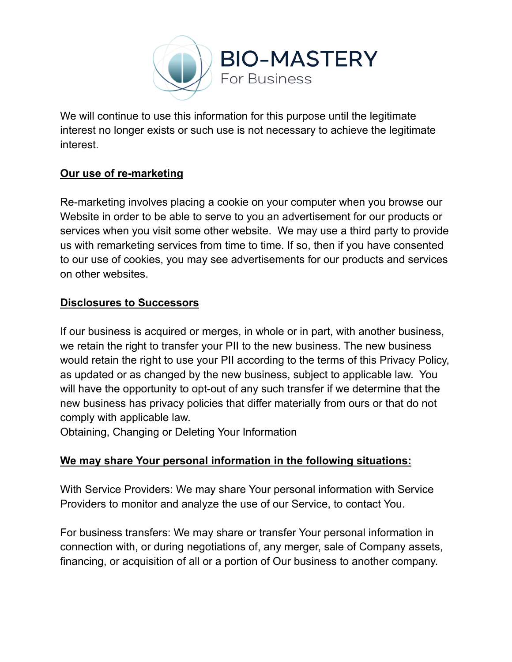

We will continue to use this information for this purpose until the legitimate interest no longer exists or such use is not necessary to achieve the legitimate interest.

# **Our use of re-marketing**

Re-marketing involves placing a cookie on your computer when you browse our Website in order to be able to serve to you an advertisement for our products or services when you visit some other website. We may use a third party to provide us with remarketing services from time to time. If so, then if you have consented to our use of cookies, you may see advertisements for our products and services on other websites.

#### **Disclosures to Successors**

If our business is acquired or merges, in whole or in part, with another business, we retain the right to transfer your PII to the new business. The new business would retain the right to use your PII according to the terms of this Privacy Policy, as updated or as changed by the new business, subject to applicable law. You will have the opportunity to opt-out of any such transfer if we determine that the new business has privacy policies that differ materially from ours or that do not comply with applicable law.

Obtaining, Changing or Deleting Your Information

#### **We may share Your personal information in the following situations:**

With Service Providers: We may share Your personal information with Service Providers to monitor and analyze the use of our Service, to contact You.

For business transfers: We may share or transfer Your personal information in connection with, or during negotiations of, any merger, sale of Company assets, financing, or acquisition of all or a portion of Our business to another company.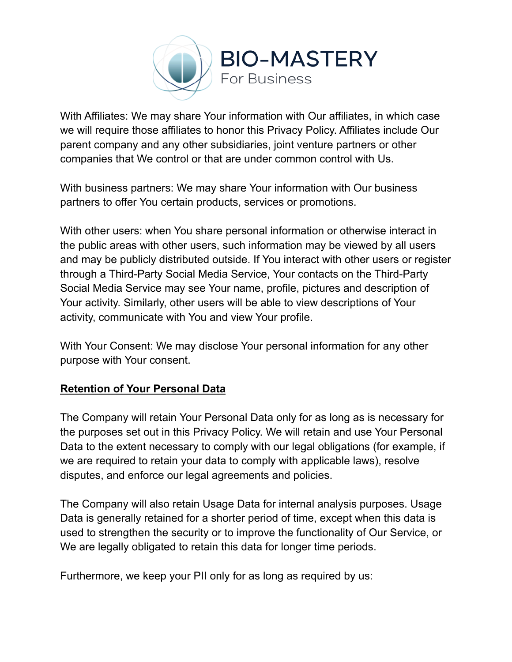

With Affiliates: We may share Your information with Our affiliates, in which case we will require those affiliates to honor this Privacy Policy. Affiliates include Our parent company and any other subsidiaries, joint venture partners or other companies that We control or that are under common control with Us.

With business partners: We may share Your information with Our business partners to offer You certain products, services or promotions.

With other users: when You share personal information or otherwise interact in the public areas with other users, such information may be viewed by all users and may be publicly distributed outside. If You interact with other users or register through a Third-Party Social Media Service, Your contacts on the Third-Party Social Media Service may see Your name, profile, pictures and description of Your activity. Similarly, other users will be able to view descriptions of Your activity, communicate with You and view Your profile.

With Your Consent: We may disclose Your personal information for any other purpose with Your consent.

#### **Retention of Your Personal Data**

The Company will retain Your Personal Data only for as long as is necessary for the purposes set out in this Privacy Policy. We will retain and use Your Personal Data to the extent necessary to comply with our legal obligations (for example, if we are required to retain your data to comply with applicable laws), resolve disputes, and enforce our legal agreements and policies.

The Company will also retain Usage Data for internal analysis purposes. Usage Data is generally retained for a shorter period of time, except when this data is used to strengthen the security or to improve the functionality of Our Service, or We are legally obligated to retain this data for longer time periods.

Furthermore, we keep your PII only for as long as required by us: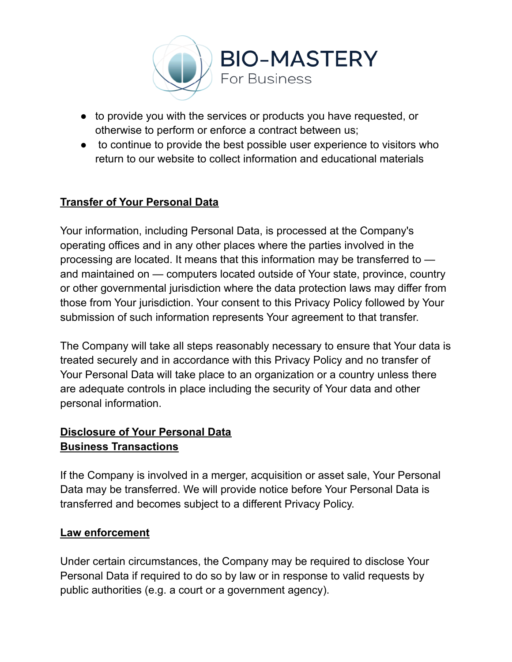

- to provide you with the services or products you have requested, or otherwise to perform or enforce a contract between us;
- to continue to provide the best possible user experience to visitors who return to our website to collect information and educational materials

## **Transfer of Your Personal Data**

Your information, including Personal Data, is processed at the Company's operating offices and in any other places where the parties involved in the processing are located. It means that this information may be transferred to and maintained on — computers located outside of Your state, province, country or other governmental jurisdiction where the data protection laws may differ from those from Your jurisdiction. Your consent to this Privacy Policy followed by Your submission of such information represents Your agreement to that transfer.

The Company will take all steps reasonably necessary to ensure that Your data is treated securely and in accordance with this Privacy Policy and no transfer of Your Personal Data will take place to an organization or a country unless there are adequate controls in place including the security of Your data and other personal information.

## **Disclosure of Your Personal Data Business Transactions**

If the Company is involved in a merger, acquisition or asset sale, Your Personal Data may be transferred. We will provide notice before Your Personal Data is transferred and becomes subject to a different Privacy Policy.

#### **Law enforcement**

Under certain circumstances, the Company may be required to disclose Your Personal Data if required to do so by law or in response to valid requests by public authorities (e.g. a court or a government agency).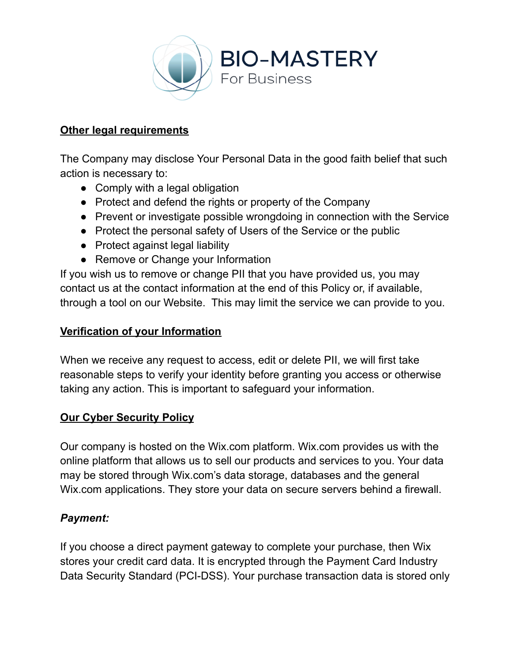

#### **Other legal requirements**

The Company may disclose Your Personal Data in the good faith belief that such action is necessary to:

- Comply with a legal obligation
- Protect and defend the rights or property of the Company
- Prevent or investigate possible wrongdoing in connection with the Service
- Protect the personal safety of Users of the Service or the public
- Protect against legal liability
- Remove or Change your Information

If you wish us to remove or change PII that you have provided us, you may contact us at the contact information at the end of this Policy or, if available, through a tool on our Website. This may limit the service we can provide to you.

#### **Verification of your Information**

When we receive any request to access, edit or delete PII, we will first take reasonable steps to verify your identity before granting you access or otherwise taking any action. This is important to safeguard your information.

## **Our Cyber Security Policy**

Our company is hosted on the Wix.com platform. Wix.com provides us with the online platform that allows us to sell our products and services to you. Your data may be stored through Wix.com's data storage, databases and the general Wix.com applications. They store your data on secure servers behind a firewall.

## *Payment:*

If you choose a direct payment gateway to complete your purchase, then Wix stores your credit card data. It is encrypted through the Payment Card Industry Data Security Standard (PCI-DSS). Your purchase transaction data is stored only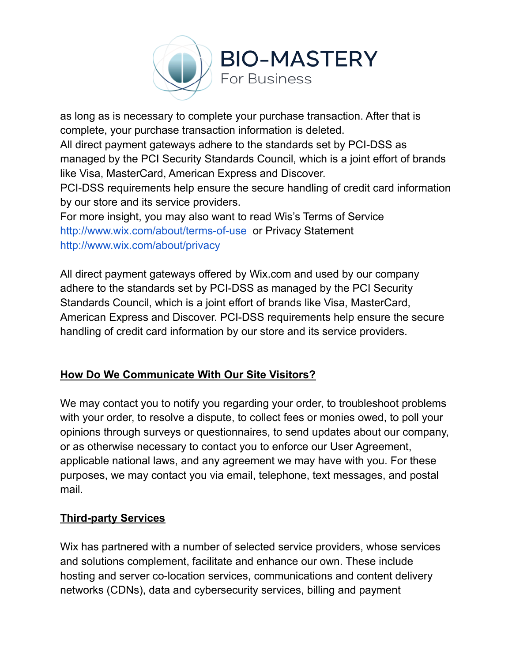

as long as is necessary to complete your purchase transaction. After that is complete, your purchase transaction information is deleted.

All direct payment gateways adhere to the standards set by PCI-DSS as managed by the PCI Security Standards Council, which is a joint effort of brands like Visa, MasterCard, American Express and Discover.

PCI-DSS requirements help ensure the secure handling of credit card information by our store and its service providers.

For more insight, you may also want to read Wis's Terms of Service <http://www.wix.com/about/terms-of-use> or Privacy Statement <http://www.wix.com/about/privacy>

All direct payment gateways offered by Wix.com and used by our company adhere to the standards set by PCI-DSS as managed by the PCI Security Standards Council, which is a joint effort of brands like Visa, MasterCard, American Express and Discover. PCI-DSS requirements help ensure the secure handling of credit card information by our store and its service providers.

# **How Do We Communicate With Our Site Visitors?**

We may contact you to notify you regarding your order, to troubleshoot problems with your order, to resolve a dispute, to collect fees or monies owed, to poll your opinions through surveys or questionnaires, to send updates about our company, or as otherwise necessary to contact you to enforce our User Agreement, applicable national laws, and any agreement we may have with you. For these purposes, we may contact you via email, telephone, text messages, and postal mail.

## **Third-party Services**

Wix has partnered with a number of selected service providers, whose services and solutions complement, facilitate and enhance our own. These include hosting and server co-location services, communications and content delivery networks (CDNs), data and cybersecurity services, billing and payment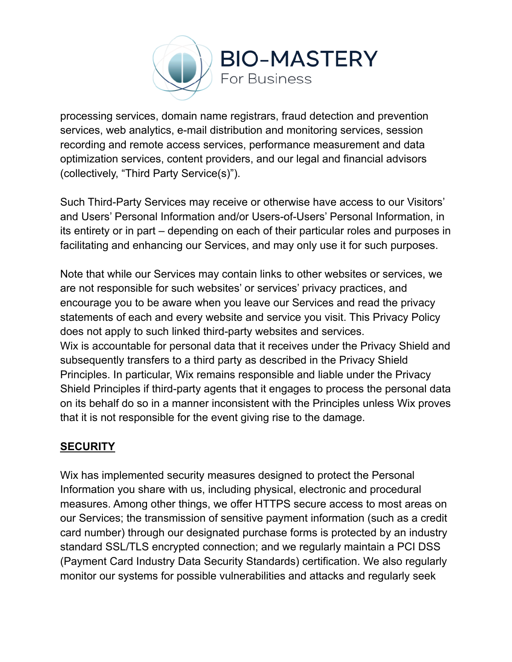

processing services, domain name registrars, fraud detection and prevention services, web analytics, e-mail distribution and monitoring services, session recording and remote access services, performance measurement and data optimization services, content providers, and our legal and financial advisors (collectively, "Third Party Service(s)").

Such Third-Party Services may receive or otherwise have access to our Visitors' and Users' Personal Information and/or Users-of-Users' Personal Information, in its entirety or in part – depending on each of their particular roles and purposes in facilitating and enhancing our Services, and may only use it for such purposes.

Note that while our Services may contain links to other websites or services, we are not responsible for such websites' or services' privacy practices, and encourage you to be aware when you leave our Services and read the privacy statements of each and every website and service you visit. This Privacy Policy does not apply to such linked third-party websites and services. Wix is accountable for personal data that it receives under the Privacy Shield and subsequently transfers to a third party as described in the Privacy Shield Principles. In particular, Wix remains responsible and liable under the Privacy Shield Principles if third-party agents that it engages to process the personal data on its behalf do so in a manner inconsistent with the Principles unless Wix proves that it is not responsible for the event giving rise to the damage.

## **SECURITY**

Wix has implemented security measures designed to protect the Personal Information you share with us, including physical, electronic and procedural measures. Among other things, we offer HTTPS secure access to most areas on our Services; the transmission of sensitive payment information (such as a credit card number) through our designated purchase forms is protected by an industry standard SSL/TLS encrypted connection; and we regularly maintain a PCI DSS (Payment Card Industry Data Security Standards) certification. We also regularly monitor our systems for possible vulnerabilities and attacks and regularly seek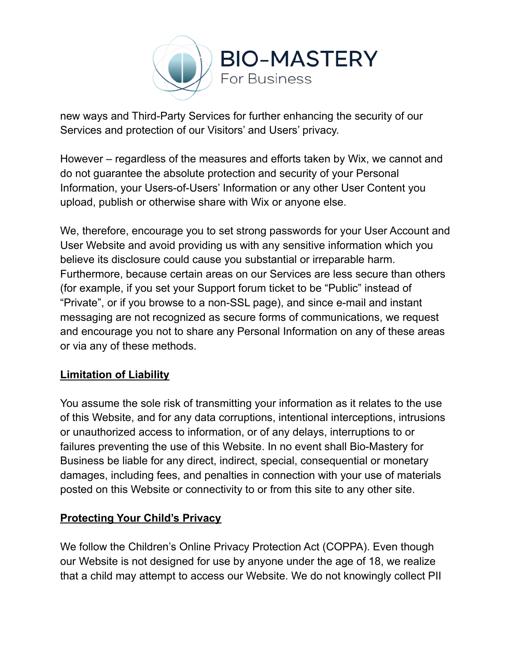

new ways and Third-Party Services for further enhancing the security of our Services and protection of our Visitors' and Users' privacy.

However – regardless of the measures and efforts taken by Wix, we cannot and do not guarantee the absolute protection and security of your Personal Information, your Users-of-Users' Information or any other User Content you upload, publish or otherwise share with Wix or anyone else.

We, therefore, encourage you to set strong passwords for your User Account and User Website and avoid providing us with any sensitive information which you believe its disclosure could cause you substantial or irreparable harm. Furthermore, because certain areas on our Services are less secure than others (for example, if you set your Support forum ticket to be "Public" instead of "Private", or if you browse to a non-SSL page), and since e-mail and instant messaging are not recognized as secure forms of communications, we request and encourage you not to share any Personal Information on any of these areas or via any of these methods.

#### **Limitation of Liability**

You assume the sole risk of transmitting your information as it relates to the use of this Website, and for any data corruptions, intentional interceptions, intrusions or unauthorized access to information, or of any delays, interruptions to or failures preventing the use of this Website. In no event shall Bio-Mastery for Business be liable for any direct, indirect, special, consequential or monetary damages, including fees, and penalties in connection with your use of materials posted on this Website or connectivity to or from this site to any other site.

## **Protecting Your Child's Privacy**

We follow the Children's Online Privacy Protection Act (COPPA). Even though our Website is not designed for use by anyone under the age of 18, we realize that a child may attempt to access our Website. We do not knowingly collect PII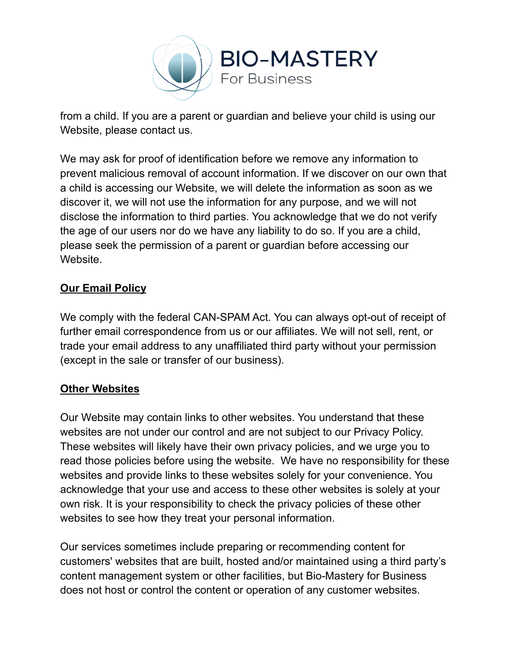

from a child. If you are a parent or guardian and believe your child is using our Website, please contact us.

We may ask for proof of identification before we remove any information to prevent malicious removal of account information. If we discover on our own that a child is accessing our Website, we will delete the information as soon as we discover it, we will not use the information for any purpose, and we will not disclose the information to third parties. You acknowledge that we do not verify the age of our users nor do we have any liability to do so. If you are a child, please seek the permission of a parent or guardian before accessing our Website.

# **Our Email Policy**

We comply with the federal CAN-SPAM Act. You can always opt-out of receipt of further email correspondence from us or our affiliates. We will not sell, rent, or trade your email address to any unaffiliated third party without your permission (except in the sale or transfer of our business).

## **Other Websites**

Our Website may contain links to other websites. You understand that these websites are not under our control and are not subject to our Privacy Policy. These websites will likely have their own privacy policies, and we urge you to read those policies before using the website. We have no responsibility for these websites and provide links to these websites solely for your convenience. You acknowledge that your use and access to these other websites is solely at your own risk. It is your responsibility to check the privacy policies of these other websites to see how they treat your personal information.

Our services sometimes include preparing or recommending content for customers' websites that are built, hosted and/or maintained using a third party's content management system or other facilities, but Bio-Mastery for Business does not host or control the content or operation of any customer websites.